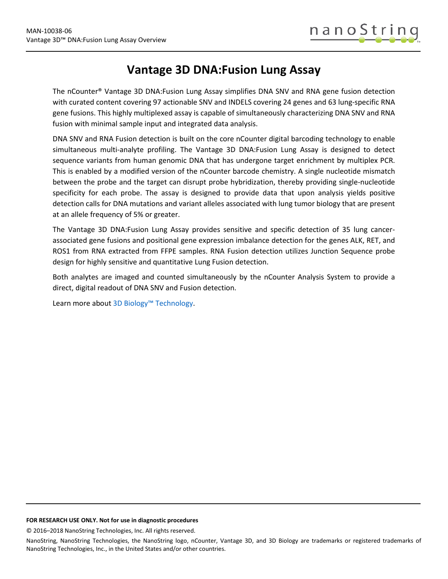# **Vantage 3D DNA:Fusion Lung Assay**

The nCounter® Vantage 3D DNA:Fusion Lung Assay simplifies DNA SNV and RNA gene fusion detection with curated content covering 97 actionable SNV and INDELS covering 24 genes and 63 lung-specific RNA gene fusions. This highly multiplexed assay is capable of simultaneously characterizing DNA SNV and RNA fusion with minimal sample input and integrated data analysis.

DNA SNV and RNA Fusion detection is built on the core nCounter digital barcoding technology to enable simultaneous multi-analyte profiling. The Vantage 3D DNA:Fusion Lung Assay is designed to detect sequence variants from human genomic DNA that has undergone target enrichment by multiplex PCR. This is enabled by a modified version of the nCounter barcode chemistry. A single nucleotide mismatch between the probe and the target can disrupt probe hybridization, thereby providing single-nucleotide specificity for each probe. The assay is designed to provide data that upon analysis yields positive detection calls for DNA mutations and variant alleles associated with lung tumor biology that are present at an allele frequency of 5% or greater.

The Vantage 3D DNA:Fusion Lung Assay provides sensitive and specific detection of 35 lung cancerassociated gene fusions and positional gene expression imbalance detection for the genes ALK, RET, and ROS1 from RNA extracted from FFPE samples. RNA Fusion detection utilizes Junction Sequence probe design for highly sensitive and quantitative Lung Fusion detection.

Both analytes are imaged and counted simultaneously by the nCounter Analysis System to provide a direct, digital readout of DNA SNV and Fusion detection.

Learn more about 3D Biology<sup>™</sup> Technology.

### **FOR RESEARCH USE ONLY. Not for use in diagnostic procedures**

© 2016–2018 NanoString Technologies, Inc. All rights reserved.

NanoString, NanoString Technologies, the NanoString logo, nCounter, Vantage 3D, and 3D Biology are trademarks or registered trademarks of NanoString Technologies, Inc., in the United States and/or other countries.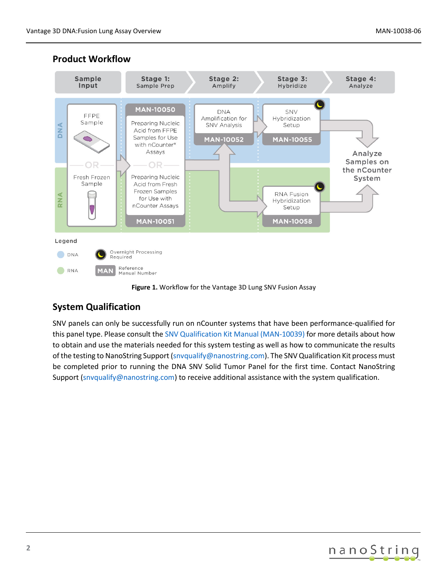

### **Product Workflow**



## **System Qualification**

SNV panels can only be successfully run on nCounter systems that have been performance-qualified for this panel type. Please consult th[e SNV Qualification Kit Manual \(MAN-10039\)](https://www.nanostring.com/download_file/view/278/3778) for more details about how to obtain and use the materials needed for this system testing as well as how to communicate the results of the testing to NanoString Support [\(snvqualify@nanostring.com\)](mailto:snvqualify@nanostring.com). The SNV Qualification Kit process must be completed prior to running the DNA SNV Solid Tumor Panel for the first time. Contact NanoString Support [\(snvqualify@nanostring.com\)](mailto:snvqualify@nanostring.com) to receive additional assistance with the system qualification.

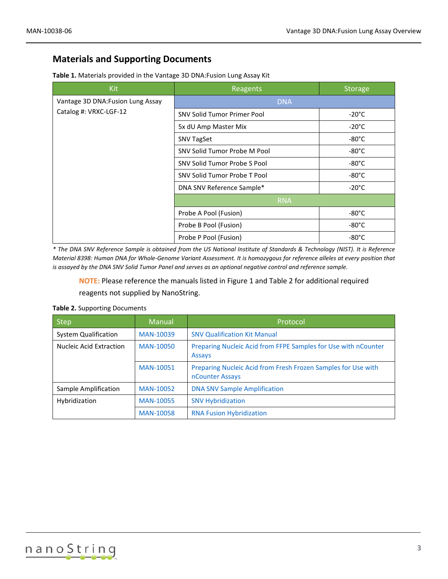### **Materials and Supporting Documents**

| <b>Kit</b>                                                  | Reagents                           | <b>Storage</b>  |
|-------------------------------------------------------------|------------------------------------|-----------------|
| Vantage 3D DNA: Fusion Lung Assay<br>Catalog #: VRXC-LGF-12 | <b>DNA</b>                         |                 |
|                                                             | <b>SNV Solid Tumor Primer Pool</b> | $-20^{\circ}$ C |
|                                                             | 5x dU Amp Master Mix               | $-20^{\circ}$ C |
|                                                             | <b>SNV TagSet</b>                  | $-80^{\circ}$ C |
|                                                             | SNV Solid Tumor Probe M Pool       | $-80^{\circ}$ C |
|                                                             | SNV Solid Tumor Probe S Pool       | -80°C           |
|                                                             | SNV Solid Tumor Probe T Pool       | $-80^{\circ}$ C |
|                                                             | DNA SNV Reference Sample*          | $-20^{\circ}$ C |
|                                                             | <b>RNA</b>                         |                 |
|                                                             | Probe A Pool (Fusion)              | $-80^{\circ}$ C |
|                                                             | Probe B Pool (Fusion)              | $-80^{\circ}$ C |
|                                                             | Probe P Pool (Fusion)              | $-80^{\circ}$ C |

*\* The DNA SNV Reference Sample is obtained from the US National Institute of Standards & Technology (NIST). It is Reference Material 8398: Human DNA for Whole-Genome Variant Assessment. It is homozygous for reference alleles at every position that is assayed by the DNA SNV Solid Tumor Panel and serves as an optional negative control and reference sample.*

**NOTE:** Please reference the manuals listed in Figure 1 and Table 2 for additional required reagents not supplied by NanoString.

| <b>Step</b>                 | <b>Manual</b>    | Protocol                                                                         |
|-----------------------------|------------------|----------------------------------------------------------------------------------|
| <b>System Qualification</b> | <b>MAN-10039</b> | <b>SNV Qualification Kit Manual</b>                                              |
| Nucleic Acid Extraction     | MAN-10050        | Preparing Nucleic Acid from FFPE Samples for Use with nCounter<br><b>Assays</b>  |
|                             | MAN-10051        | Preparing Nucleic Acid from Fresh Frozen Samples for Use with<br>nCounter Assays |
| Sample Amplification        | MAN-10052        | <b>DNA SNV Sample Amplification</b>                                              |
| Hybridization               | <b>MAN-10055</b> | <b>SNV Hybridization</b>                                                         |
|                             | <b>MAN-10058</b> | <b>RNA Fusion Hybridization</b>                                                  |

### **Table 2.** Supporting Documents